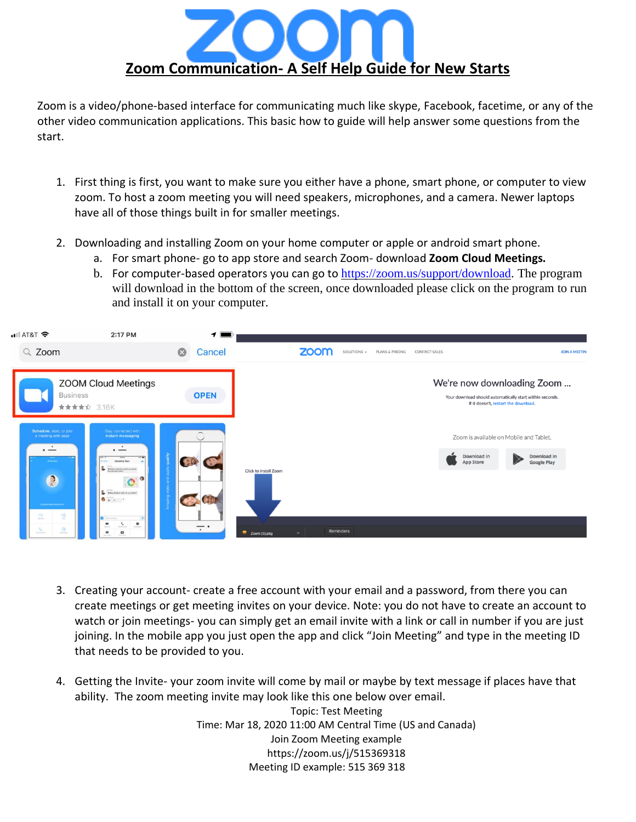

Zoom is a video/phone-based interface for communicating much like skype, Facebook, facetime, or any of the other video communication applications. This basic how to guide will help answer some questions from the start.

- 1. First thing is first, you want to make sure you either have a phone, smart phone, or computer to view zoom. To host a zoom meeting you will need speakers, microphones, and a camera. Newer laptops have all of those things built in for smaller meetings.
- 2. Downloading and installing Zoom on your home computer or apple or android smart phone.
	- a. For smart phone- go to app store and search Zoom- download **Zoom Cloud Meetings.**
	- b. For computer-based operators you can go to [https://zoom.us/support/download.](https://zoom.us/support/download) The program will download in the bottom of the screen, once downloaded please click on the program to run and install it on your computer.



- 3. Creating your account- create a free account with your email and a password, from there you can create meetings or get meeting invites on your device. Note: you do not have to create an account to watch or join meetings- you can simply get an email invite with a link or call in number if you are just joining. In the mobile app you just open the app and click "Join Meeting" and type in the meeting ID that needs to be provided to you.
- 4. Getting the Invite- your zoom invite will come by mail or maybe by text message if places have that ability. The zoom meeting invite may look like this one below over email.

Topic: Test Meeting Time: Mar 18, 2020 11:00 AM Central Time (US and Canada) Join Zoom Meeting example https://zoom.us/j/515369318 Meeting ID example: 515 369 318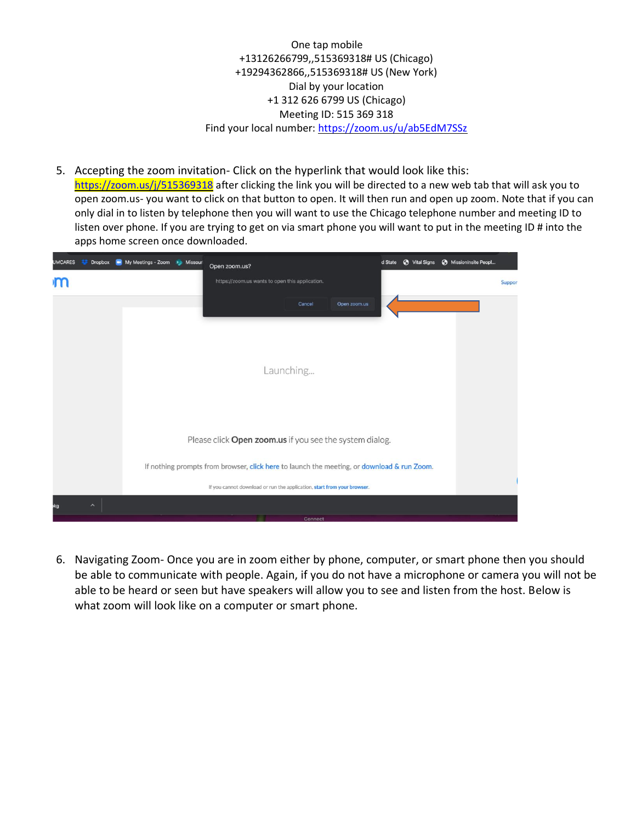One tap mobile +13126266799,,515369318# US (Chicago) +19294362866,,515369318# US (New York) Dial by your location +1 312 626 6799 US (Chicago) Meeting ID: 515 369 318 Find your local number:<https://zoom.us/u/ab5EdM7SSz>

5. Accepting the zoom invitation- Click on the hyperlink that would look like this: <https://zoom.us/j/515369318> after clicking the link you will be directed to a new web tab that will ask you to open zoom.us- you want to click on that button to open. It will then run and open up zoom. Note that if you can only dial in to listen by telephone then you will want to use the Chicago telephone number and meeting ID to listen over phone. If you are trying to get on via smart phone you will want to put in the meeting ID # into the apps home screen once downloaded.

| My Meetings - Zoom so Missour<br><b>UMCARES</b><br><b>Dropbox</b> | S Vital Signs<br>d State<br>Open zoom.us?                                                  | MissionInsite Peopl |
|-------------------------------------------------------------------|--------------------------------------------------------------------------------------------|---------------------|
|                                                                   | https://zoom.us wants to open this application.                                            | <b>Suppor</b>       |
|                                                                   | Open zoom.us<br>Cancel                                                                     |                     |
|                                                                   | Launching                                                                                  |                     |
|                                                                   | Please click Open zoom.us if you see the system dialog.                                    |                     |
|                                                                   | If nothing prompts from browser, click here to launch the meeting, or download & run Zoom. |                     |
|                                                                   | If you cannot download or run the application, start from your browser.                    |                     |
| $\widehat{\phantom{a}}$<br>эkg                                    | Connect                                                                                    |                     |

6. Navigating Zoom- Once you are in zoom either by phone, computer, or smart phone then you should be able to communicate with people. Again, if you do not have a microphone or camera you will not be able to be heard or seen but have speakers will allow you to see and listen from the host. Below is what zoom will look like on a computer or smart phone.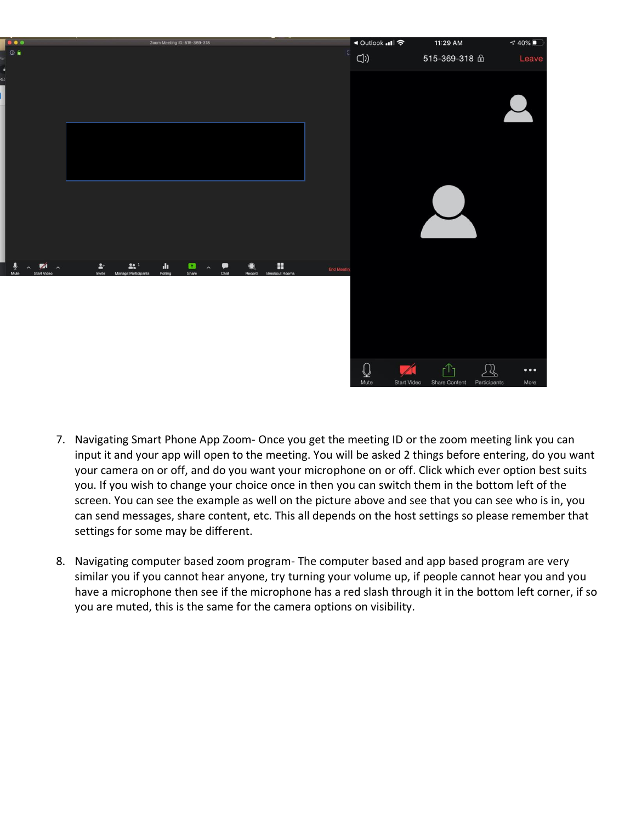

- 7. Navigating Smart Phone App Zoom- Once you get the meeting ID or the zoom meeting link you can input it and your app will open to the meeting. You will be asked 2 things before entering, do you want your camera on or off, and do you want your microphone on or off. Click which ever option best suits you. If you wish to change your choice once in then you can switch them in the bottom left of the screen. You can see the example as well on the picture above and see that you can see who is in, you can send messages, share content, etc. This all depends on the host settings so please remember that settings for some may be different.
- 8. Navigating computer based zoom program- The computer based and app based program are very similar you if you cannot hear anyone, try turning your volume up, if people cannot hear you and you have a microphone then see if the microphone has a red slash through it in the bottom left corner, if so you are muted, this is the same for the camera options on visibility.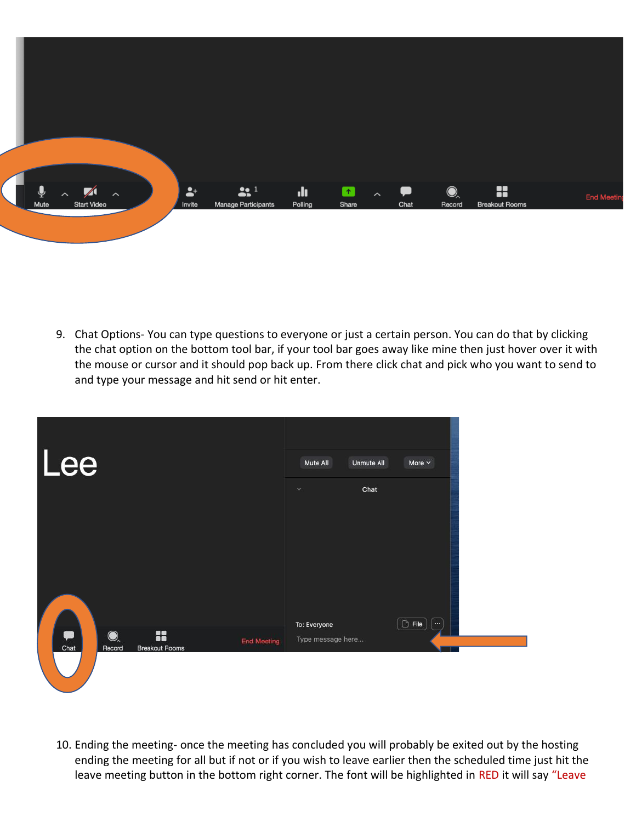

9. Chat Options- You can type questions to everyone or just a certain person. You can do that by clicking the chat option on the bottom tool bar, if your tool bar goes away like mine then just hover over it with the mouse or cursor and it should pop back up. From there click chat and pick who you want to send to and type your message and hit send or hit enter.

| Lee                                                                                   | Mute All<br><b>Unmute All</b><br>More $\sim$                          |  |
|---------------------------------------------------------------------------------------|-----------------------------------------------------------------------|--|
|                                                                                       | Chat<br>$\sim$                                                        |  |
|                                                                                       |                                                                       |  |
| G<br>$\bigcirc$<br>8<br><b>End Meeting</b><br>Chat<br>Record<br><b>Breakout Rooms</b> | $\boxed{\odot}$ File<br>To: Everyone<br>$\cdots$<br>Type message here |  |

10. Ending the meeting- once the meeting has concluded you will probably be exited out by the hosting ending the meeting for all but if not or if you wish to leave earlier then the scheduled time just hit the leave meeting button in the bottom right corner. The font will be highlighted in RED it will say "Leave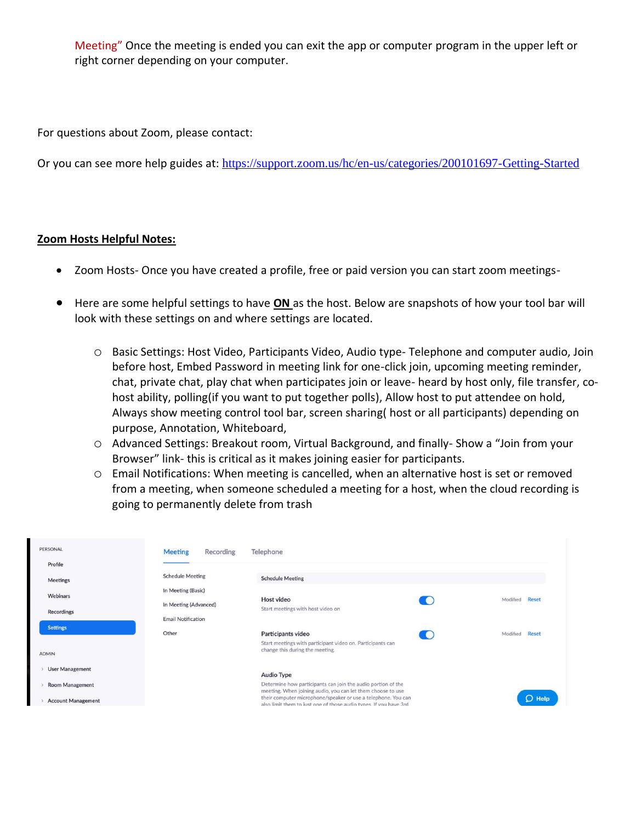Meeting" Once the meeting is ended you can exit the app or computer program in the upper left or right corner depending on your computer.

For questions about Zoom, please contact:

Or you can see more help guides at: <https://support.zoom.us/hc/en-us/categories/200101697-Getting-Started>

## **Zoom Hosts Helpful Notes:**

- Zoom Hosts- Once you have created a profile, free or paid version you can start zoom meetings-
- Here are some helpful settings to have **ON** as the host. Below are snapshots of how your tool bar will look with these settings on and where settings are located.
	- o Basic Settings: Host Video, Participants Video, Audio type- Telephone and computer audio, Join before host, Embed Password in meeting link for one-click join, upcoming meeting reminder, chat, private chat, play chat when participates join or leave- heard by host only, file transfer, cohost ability, polling(if you want to put together polls), Allow host to put attendee on hold, Always show meeting control tool bar, screen sharing( host or all participants) depending on purpose, Annotation, Whiteboard,
	- o Advanced Settings: Breakout room, Virtual Background, and finally- Show a "Join from your Browser" link- this is critical as it makes joining easier for participants.
	- o Email Notifications: When meeting is cancelled, when an alternative host is set or removed from a meeting, when someone scheduled a meeting for a host, when the cloud recording is going to permanently delete from trash

| PERSONAL<br>Profile       | <b>Meeting</b><br>Recording                 | Telephone                                                                                                                          |                          |
|---------------------------|---------------------------------------------|------------------------------------------------------------------------------------------------------------------------------------|--------------------------|
| <b>Meetings</b>           | <b>Schedule Meeting</b>                     | <b>Schedule Meeting</b>                                                                                                            |                          |
| Webinars                  | In Meeting (Basic)<br>In Meeting (Advanced) | <b>Host video</b>                                                                                                                  | <b>Reset</b><br>Modified |
| <b>Recordings</b>         | <b>Email Notification</b>                   | Start meetings with host video on                                                                                                  |                          |
| <b>Settings</b>           | Other                                       | Participants video<br>Start meetings with participant video on. Participants can                                                   | <b>Reset</b><br>Modified |
| <b>ADMIN</b>              |                                             | change this during the meeting.                                                                                                    |                          |
| <b>User Management</b>    |                                             | <b>Audio Type</b>                                                                                                                  |                          |
| <b>Room Management</b>    |                                             | Determine how participants can join the audio portion of the<br>meeting. When joining audio, you can let them choose to use        |                          |
| <b>Account Management</b> |                                             | their computer microphone/speaker or use a telephone. You can<br>also limit them to just one of those audio types. If you have 3rd | $O$ Help                 |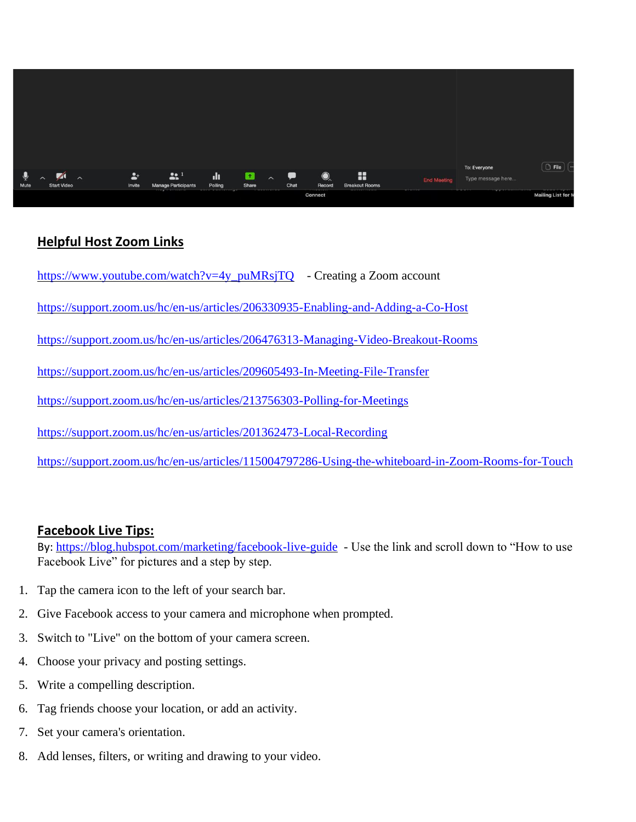

## **Helpful Host Zoom Links**

[https://www.youtube.com/watch?v=4y\\_puMRsjTQ](https://www.youtube.com/watch?v=4y_puMRsjTQ) - Creating a Zoom account

<https://support.zoom.us/hc/en-us/articles/206330935-Enabling-and-Adding-a-Co-Host>

<https://support.zoom.us/hc/en-us/articles/206476313-Managing-Video-Breakout-Rooms>

<https://support.zoom.us/hc/en-us/articles/209605493-In-Meeting-File-Transfer>

<https://support.zoom.us/hc/en-us/articles/213756303-Polling-for-Meetings>

<https://support.zoom.us/hc/en-us/articles/201362473-Local-Recording>

<https://support.zoom.us/hc/en-us/articles/115004797286-Using-the-whiteboard-in-Zoom-Rooms-for-Touch>

## **Facebook Live Tips:**

By: <https://blog.hubspot.com/marketing/facebook-live-guide>- Use the link and scroll down to "How to use Facebook Live" for pictures and a step by step.

- 1. Tap the camera icon to the left of your search bar.
- 2. Give Facebook access to your camera and microphone when prompted.
- 3. Switch to "Live" on the bottom of your camera screen.
- 4. Choose your privacy and posting settings.
- 5. Write a compelling description.
- 6. Tag friends choose your location, or add an activity.
- 7. Set your camera's orientation.
- 8. Add lenses, filters, or writing and drawing to your video.